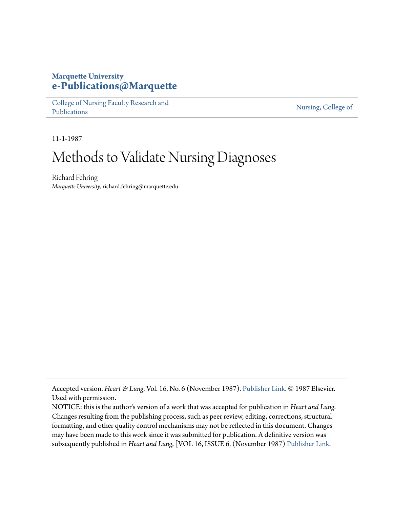## **Marquette University [e-Publications@Marquette](https://epublications.marquette.edu)**

[College of Nursing Faculty Research and](https://epublications.marquette.edu/nursing_fac) [Publications](https://epublications.marquette.edu/nursing_fac)

[Nursing, College of](https://epublications.marquette.edu/nursing)

11-1-1987

# Methods to Validate Nursing Diagnoses

Richard Fehring *Marquette University*, richard.fehring@marquette.edu

Accepted version. *Heart & Lung*, Vol. 16, No. 6 (November 1987). [Publisher Link](http://www.heartandlung.org/). © 1987 Elsevier. Used with permission.

NOTICE: this is the author's version of a work that was accepted for publication in *Heart and Lung*. Changes resulting from the publishing process, such as peer review, editing, corrections, structural formatting, and other quality control mechanisms may not be reflected in this document. Changes may have been made to this work since it was submitted for publication. A definitive version was subsequently published in *Heart and Lung*, [VOL 16, ISSUE 6, (November 1987) [Publisher Link](http://www.heartandlung.org/).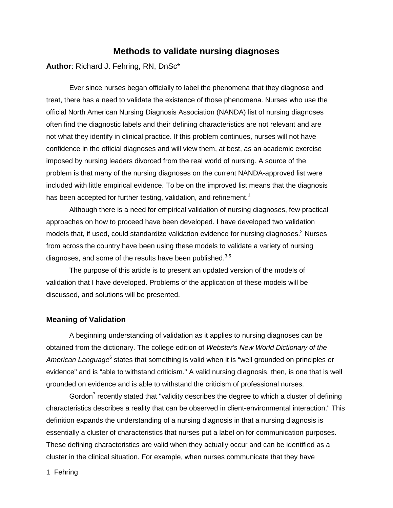### **Methods to validate nursing diagnoses**

**Author**: Richard J. Fehring, RN, DnSc\*

Ever since nurses began officially to label the phenomena that they diagnose and treat, there has a need to validate the existence of those phenomena. Nurses who use the official North American Nursing Diagnosis Association (NANDA) list of nursing diagnoses often find the diagnostic labels and their defining characteristics are not relevant and are not what they identify in clinical practice. If this problem continues, nurses will not have confidence in the official diagnoses and will view them, at best, as an academic exercise imposed by nursing leaders divorced from the real world of nursing. A source of the problem is that many of the nursing diagnoses on the current NANDA-approved list were included with little empirical evidence. To be on the improved list means that the diagnosis has been accepted for further testing, validation, and refinement.<sup>1</sup>

Although there is a need for empirical validation of nursing diagnoses, few practical approaches on how to proceed have been developed. I have developed two validation models that, if used, could standardize validation evidence for nursing diagnoses.<sup>2</sup> Nurses from across the country have been using these models to validate a variety of nursing diagnoses, and some of the results have been published. $3-5$ 

The purpose of this article is to present an updated version of the models of validation that I have developed. Problems of the application of these models will be discussed, and solutions will be presented.

#### **Meaning of Validation**

A beginning understanding of validation as it applies to nursing diagnoses can be obtained from the dictionary. The college edition of Webster's New World Dictionary of the American Language<sup>6</sup> states that something is valid when it is "well grounded on principles or evidence" and is "able to withstand criticism." A valid nursing diagnosis, then, is one that is well grounded on evidence and is able to withstand the criticism of professional nurses.

Gordon<sup>7</sup> recently stated that "validity describes the degree to which a cluster of defining characteristics describes a reality that can be observed in client-environmental interaction." This definition expands the understanding of a nursing diagnosis in that a nursing diagnosis is essentially a cluster of characteristics that nurses put a label on for communication purposes. These defining characteristics are valid when they actually occur and can be identified as a cluster in the clinical situation. For example, when nurses communicate that they have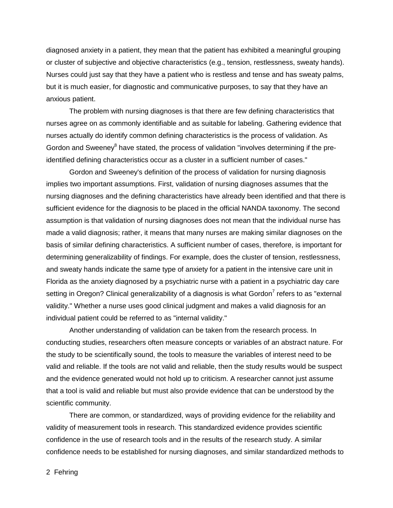diagnosed anxiety in a patient, they mean that the patient has exhibited a meaningful grouping or cluster of subjective and objective characteristics (e.g., tension, restlessness, sweaty hands). Nurses could just say that they have a patient who is restless and tense and has sweaty palms, but it is much easier, for diagnostic and communicative purposes, to say that they have an anxious patient.

The problem with nursing diagnoses is that there are few defining characteristics that nurses agree on as commonly identifiable and as suitable for labeling. Gathering evidence that nurses actually do identify common defining characteristics is the process of validation. As Gordon and Sweeney<sup>8</sup> have stated, the process of validation "involves determining if the preidentified defining characteristics occur as a cluster in a sufficient number of cases."

Gordon and Sweeney's definition of the process of validation for nursing diagnosis implies two important assumptions. First, validation of nursing diagnoses assumes that the nursing diagnoses and the defining characteristics have already been identified and that there is sufficient evidence for the diagnosis to be placed in the official NANDA taxonomy. The second assumption is that validation of nursing diagnoses does not mean that the individual nurse has made a valid diagnosis; rather, it means that many nurses are making similar diagnoses on the basis of similar defining characteristics. A sufficient number of cases, therefore, is important for determining generalizability of findings. For example, does the cluster of tension, restlessness, and sweaty hands indicate the same type of anxiety for a patient in the intensive care unit in Florida as the anxiety diagnosed by a psychiatric nurse with a patient in a psychiatric day care setting in Oregon? Clinical generalizability of a diagnosis is what Gordon<sup>7</sup> refers to as "external validity." Whether a nurse uses good clinical judgment and makes a valid diagnosis for an individual patient could be referred to as "internal validity."

Another understanding of validation can be taken from the research process. In conducting studies, researchers often measure concepts or variables of an abstract nature. For the study to be scientifically sound, the tools to measure the variables of interest need to be valid and reliable. If the tools are not valid and reliable, then the study results would be suspect and the evidence generated would not hold up to criticism. A researcher cannot just assume that a tool is valid and reliable but must also provide evidence that can be understood by the scientific community.

There are common, or standardized, ways of providing evidence for the reliability and validity of measurement tools in research. This standardized evidence provides scientific confidence in the use of research tools and in the results of the research study. A similar confidence needs to be established for nursing diagnoses, and similar standardized methods to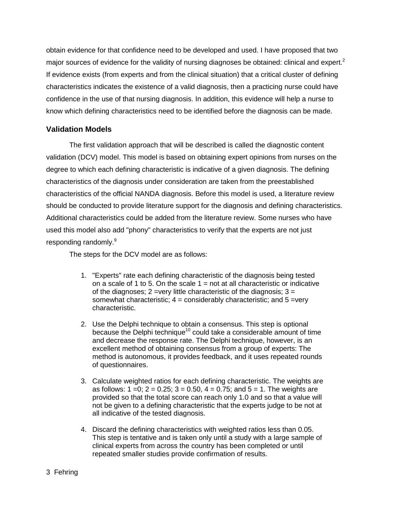obtain evidence for that confidence need to be developed and used. I have proposed that two major sources of evidence for the validity of nursing diagnoses be obtained: clinical and expert.<sup>2</sup> If evidence exists (from experts and from the clinical situation) that a critical cluster of defining characteristics indicates the existence of a valid diagnosis, then a practicing nurse could have confidence in the use of that nursing diagnosis. In addition, this evidence will help a nurse to know which defining characteristics need to be identified before the diagnosis can be made.

#### **Validation Models**

The first validation approach that will be described is called the diagnostic content validation (DCV) model. This model is based on obtaining expert opinions from nurses on the degree to which each defining characteristic is indicative of a given diagnosis. The defining characteristics of the diagnosis under consideration are taken from the preestablished characteristics of the official NANDA diagnosis. Before this model is used, a literature review should be conducted to provide literature support for the diagnosis and defining characteristics. Additional characteristics could be added from the literature review. Some nurses who have used this model also add "phony" characteristics to verify that the experts are not just responding randomly.<sup>9</sup>

The steps for the DCV model are as follows:

- 1. "Experts" rate each defining characteristic of the diagnosis being tested on a scale of 1 to 5. On the scale  $1 = \text{not}$  at all characteristic or indicative of the diagnoses;  $2 = \text{very little characteristic of the diagnosis}$ ;  $3 =$ somewhat characteristic;  $4 =$  considerably characteristic; and  $5 =$ very characteristic.
- 2. Use the Delphi technique to obtain a consensus. This step is optional because the Delphi technique<sup>10</sup> could take a considerable amount of time and decrease the response rate. The Delphi technique, however, is an excellent method of obtaining consensus from a group of experts: The method is autonomous, it provides feedback, and it uses repeated rounds of questionnaires.
- 3. Calculate weighted ratios for each defining characteristic. The weights are as follows:  $1 = 0$ ;  $2 = 0.25$ ;  $3 = 0.50$ ,  $4 = 0.75$ ; and  $5 = 1$ . The weights are provided so that the total score can reach only 1.0 and so that a value will not be given to a defining characteristic that the experts judge to be not at all indicative of the tested diagnosis.
- 4. Discard the defining characteristics with weighted ratios less than 0.05. This step is tentative and is taken only until a study with a large sample of clinical experts from across the country has been completed or until repeated smaller studies provide confirmation of results.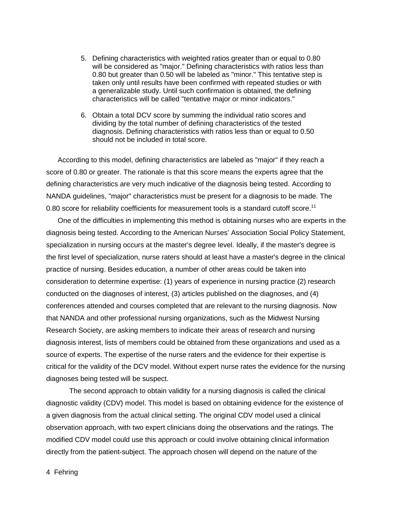- 5. Defining characteristics with weighted ratios greater than or equal to 0.80 will be considered as "major." Defining characteristics with ratios less than 0.80 but greater than 0.50 will be labeled as "minor." This tentative step is taken only until results have been confirmed with repeated studies or with a generalizable study. Until such confirmation is obtained, the defining characteristics will be called "tentative major or minor indicators."
- 6. Obtain a total DCV score by summing the individual ratio scores and dividing by the total number of defining characteristics of the tested diagnosis. Defining characteristics with ratios less than or equal to 0.50 should not be included in total score.

According to this model, defining characteristics are labeled as "major" if they reach a score of 0.80 or greater. The rationale is that this score means the experts agree that the defining characteristics are very much indicative of the diagnosis being tested. According to NANDA guidelines, "major" characteristics must be present for a diagnosis to be made. The 0.80 score for reliability coefficients for measurement tools is a standard cutoff score.<sup>11</sup>

One of the difficulties in implementing this method is obtaining nurses who are experts in the diagnosis being tested. According to the American Nurses' Association Social Policy Statement, specialization in nursing occurs at the master's degree level. Ideally, if the master's degree is the first level of specialization, nurse raters should at least have a master's degree in the clinical practice of nursing. Besides education, a number of other areas could be taken into consideration to determine expertise: (1) years of experience in nursing practice (2) research conducted on the diagnoses of interest, (3) articles published on the diagnoses, and (4) conferences attended and courses completed that are relevant to the nursing diagnosis. Now that NANDA and other professional nursing organizations, such as the Midwest Nursing Research Society, are asking members to indicate their areas of research and nursing diagnosis interest, lists of members could be obtained from these organizations and used as a source of experts. The expertise of the nurse raters and the evidence for their expertise is critical for the validity of the DCV model. Without expert nurse rates the evidence for the nursing diagnoses being tested will be suspect.

The second approach to obtain validity for a nursing diagnosis is called the clinical diagnostic validity (CDV) model. This model is based on obtaining evidence for the existence of a given diagnosis from the actual clinical setting. The original CDV model used a clinical observation approach, with two expert clinicians doing the observations and the ratings. The modified CDV model could use this approach or could involve obtaining clinical information directly from the patient-subject. The approach chosen will depend on the nature of the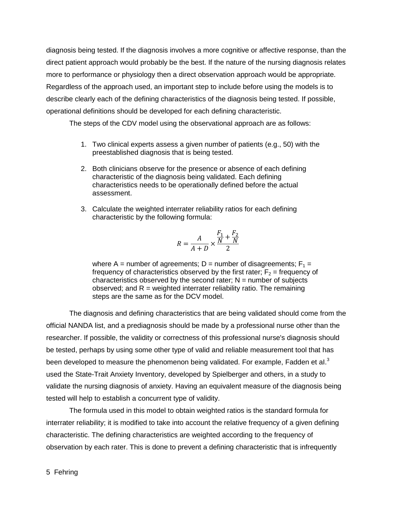diagnosis being tested. If the diagnosis involves a more cognitive or affective response, than the direct patient approach would probably be the best. If the nature of the nursing diagnosis relates more to performance or physiology then a direct observation approach would be appropriate. Regardless of the approach used, an important step to include before using the models is to describe clearly each of the defining characteristics of the diagnosis being tested. If possible, operational definitions should be developed for each defining characteristic.

The steps of the CDV model using the observational approach are as follows:

- 1. Two clinical experts assess a given number of patients (e.g., 50) with the preestablished diagnosis that is being tested.
- 2. Both clinicians observe for the presence or absence of each defining characteristic of the diagnosis being validated. Each defining characteristics needs to be operationally defined before the actual assessment.
- 3. Calculate the weighted interrater reliability ratios for each defining characteristic by the following formula:

$$
R = \frac{A}{A+D} \times \frac{\frac{F_1}{N} + \frac{F_2}{N}}{2}
$$

where A = number of agreements;  $D =$  number of disagreements;  $F_1 =$ frequency of characteristics observed by the first rater;  $F_2$  = frequency of characteristics observed by the second rater;  $N =$  number of subjects observed; and  $R =$  weighted interrater reliability ratio. The remaining steps are the same as for the DCV model.

The diagnosis and defining characteristics that are being validated should come from the official NANDA list, and a prediagnosis should be made by a professional nurse other than the researcher. If possible, the validity or correctness of this professional nurse's diagnosis should be tested, perhaps by using some other type of valid and reliable measurement tool that has been developed to measure the phenomenon being validated. For example, Fadden et al.<sup>3</sup> used the State-Trait Anxiety Inventory, developed by Spielberger and others, in a study to validate the nursing diagnosis of anxiety. Having an equivalent measure of the diagnosis being tested will help to establish a concurrent type of validity.

The formula used in this model to obtain weighted ratios is the standard formula for interrater reliability; it is modified to take into account the relative frequency of a given defining characteristic. The defining characteristics are weighted according to the frequency of observation by each rater. This is done to prevent a defining characteristic that is infrequently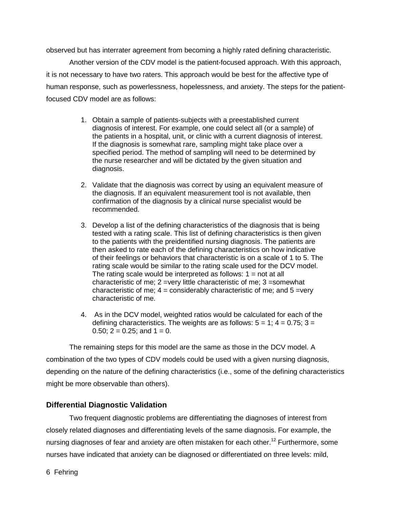observed but has interrater agreement from becoming a highly rated defining characteristic.

Another version of the CDV model is the patient-focused approach. With this approach, it is not necessary to have two raters. This approach would be best for the affective type of human response, such as powerlessness, hopelessness, and anxiety. The steps for the patientfocused CDV model are as follows:

- 1. Obtain a sample of patients-subjects with a preestablished current diagnosis of interest. For example, one could select all (or a sample) of the patients in a hospital, unit, or clinic with a current diagnosis of interest. If the diagnosis is somewhat rare, sampling might take place over a specified period. The method of sampling will need to be determined by the nurse researcher and will be dictated by the given situation and diagnosis.
- 2. Validate that the diagnosis was correct by using an equivalent measure of the diagnosis. If an equivalent measurement tool is not available, then confirmation of the diagnosis by a clinical nurse specialist would be recommended.
- 3. Develop a list of the defining characteristics of the diagnosis that is being tested with a rating scale. This list of defining characteristics is then given to the patients with the preidentified nursing diagnosis. The patients are then asked to rate each of the defining characteristics on how indicative of their feelings or behaviors that characteristic is on a scale of 1 to 5. The rating scale would be similar to the rating scale used for the DCV model. The rating scale would be interpreted as follows:  $1 = not$  at all characteristic of me; 2 =very little characteristic of me; 3 =somewhat characteristic of me;  $4 =$  considerably characteristic of me; and  $5 =$ very characteristic of me.
- 4. As in the DCV model, weighted ratios would be calculated for each of the defining characteristics. The weights are as follows:  $5 = 1$ ;  $4 = 0.75$ ;  $3 = 1$ 0.50;  $2 = 0.25$ ; and  $1 = 0$ .

The remaining steps for this model are the same as those in the DCV model. A combination of the two types of CDV models could be used with a given nursing diagnosis, depending on the nature of the defining characteristics (i.e., some of the defining characteristics might be more observable than others).

#### **Differential Diagnostic Validation**

Two frequent diagnostic problems are differentiating the diagnoses of interest from closely related diagnoses and differentiating levels of the same diagnosis. For example, the nursing diagnoses of fear and anxiety are often mistaken for each other.<sup>12</sup> Furthermore. some nurses have indicated that anxiety can be diagnosed or differentiated on three levels: mild,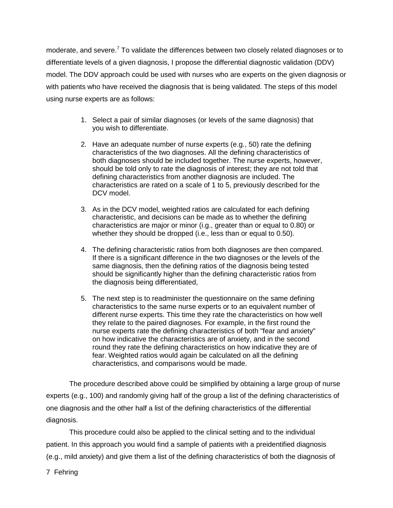moderate, and severe.<sup>7</sup> To validate the differences between two closely related diagnoses or to differentiate levels of a given diagnosis, I propose the differential diagnostic validation (DDV) model. The DDV approach could be used with nurses who are experts on the given diagnosis or with patients who have received the diagnosis that is being validated. The steps of this model using nurse experts are as follows:

- 1. Select a pair of similar diagnoses (or levels of the same diagnosis) that you wish to differentiate.
- 2. Have an adequate number of nurse experts (e.g., 50) rate the defining characteristics of the two diagnoses. All the defining characteristics of both diagnoses should be included together. The nurse experts, however, should be told only to rate the diagnosis of interest; they are not told that defining characteristics from another diagnosis are included. The characteristics are rated on a scale of 1 to 5, previously described for the DCV model.
- 3. As in the DCV model, weighted ratios are calculated for each defining characteristic, and decisions can be made as to whether the defining characteristics are major or minor (i.g., greater than or equal to 0.80) or whether they should be dropped (i.e., less than or equal to 0.50).
- 4. The defining characteristic ratios from both diagnoses are then compared. If there is a significant difference in the two diagnoses or the levels of the same diagnosis, then the defining ratios of the diagnosis being tested should be significantly higher than the defining characteristic ratios from the diagnosis being differentiated,
- 5. The next step is to readminister the questionnaire on the same defining characteristics to the same nurse experts or to an equivalent number of different nurse experts. This time they rate the characteristics on how well they relate to the paired diagnoses. For example, in the first round the nurse experts rate the defining characteristics of both "fear and anxiety" on how indicative the characteristics are of anxiety, and in the second round they rate the defining characteristics on how indicative they are of fear. Weighted ratios would again be calculated on all the defining characteristics, and comparisons would be made.

The procedure described above could be simplified by obtaining a large group of nurse experts (e.g., 100) and randomly giving half of the group a list of the defining characteristics of one diagnosis and the other half a list of the defining characteristics of the differential diagnosis.

This procedure could also be applied to the clinical setting and to the individual patient. In this approach you would find a sample of patients with a preidentified diagnosis (e.g., mild anxiety) and give them a list of the defining characteristics of both the diagnosis of

7 Fehring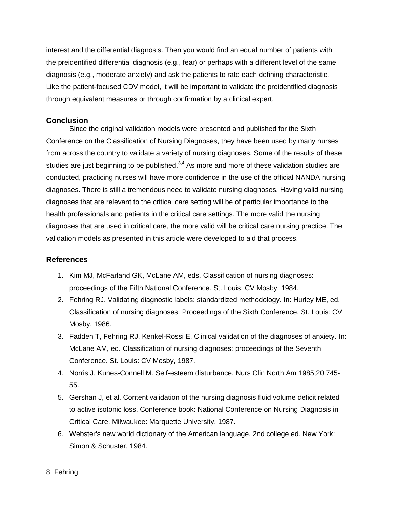interest and the differential diagnosis. Then you would find an equal number of patients with the preidentified differential diagnosis (e.g., fear) or perhaps with a different level of the same diagnosis (e.g., moderate anxiety) and ask the patients to rate each defining characteristic. Like the patient-focused CDV model, it will be important to validate the preidentified diagnosis through equivalent measures or through confirmation by a clinical expert.

#### **Conclusion**

Since the original validation models were presented and published for the Sixth Conference on the Classification of Nursing Diagnoses, they have been used by many nurses from across the country to validate a variety of nursing diagnoses. Some of the results of these studies are just beginning to be published. $3,4$  As more and more of these validation studies are conducted, practicing nurses will have more confidence in the use of the official NANDA nursing diagnoses. There is still a tremendous need to validate nursing diagnoses. Having valid nursing diagnoses that are relevant to the critical care setting will be of particular importance to the health professionals and patients in the critical care settings. The more valid the nursing diagnoses that are used in critical care, the more valid will be critical care nursing practice. The validation models as presented in this article were developed to aid that process.

#### **References**

- 1. Kim MJ, McFarland GK, McLane AM, eds. Classification of nursing diagnoses: proceedings of the Fifth National Conference. St. Louis: CV Mosby, 1984.
- 2. Fehring RJ. Validating diagnostic labels: standardized methodology. In: Hurley ME, ed. Classification of nursing diagnoses: Proceedings of the Sixth Conference. St. Louis: CV Mosby, 1986.
- 3. Fadden T, Fehring RJ, Kenkel-Rossi E. Clinical validation of the diagnoses of anxiety. In: McLane AM, ed. Classification of nursing diagnoses: proceedings of the Seventh Conference. St. Louis: CV Mosby, 1987.
- 4. Norris J, Kunes-Connell M. Self-esteem disturbance. Nurs Clin North Am 1985;20:745- 55.
- 5. Gershan J, et al. Content validation of the nursing diagnosis fluid volume deficit related to active isotonic loss. Conference book: National Conference on Nursing Diagnosis in Critical Care. Milwaukee: Marquette University, 1987.
- 6. Webster's new world dictionary of the American language. 2nd college ed. New York: Simon & Schuster, 1984.